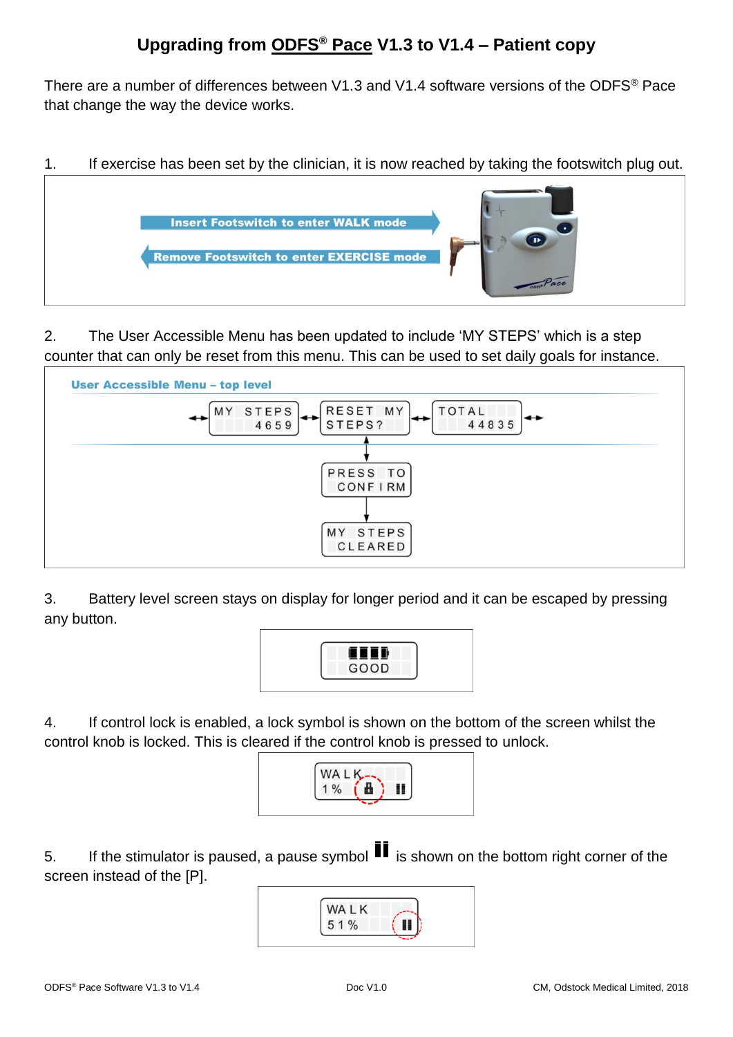There are a number of differences between V1.3 and V1.4 software versions of the ODFS® Pace that change the way the device works.

1. If exercise has been set by the clinician, it is now reached by taking the footswitch plug out.



2. The User Accessible Menu has been updated to include 'MY STEPS' which is a step counter that can only be reset from this menu. This can be used to set daily goals for instance.



3. Battery level screen stays on display for longer period and it can be escaped by pressing any button.



4. If control lock is enabled, a lock symbol is shown on the bottom of the screen whilst the control knob is locked. This is cleared if the control knob is pressed to unlock.



5. If the stimulator is paused, a pause symbol  $\blacksquare$  is shown on the bottom right corner of the screen instead of the [P].